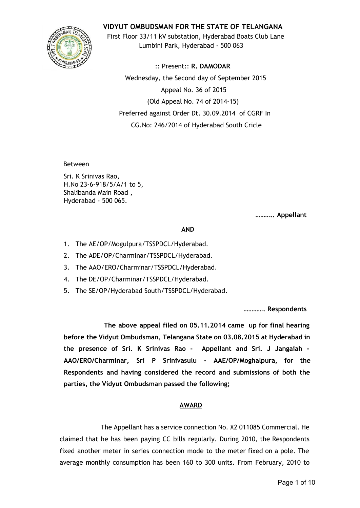

**VIDYUT OMBUDSMAN FOR THE STATE OF TELANGANA**

First Floor 33/11 kV substation, Hyderabad Boats Club Lane Lumbini Park, Hyderabad - 500 063

:: Present:: **R. DAMODAR** Wednesday, the Second day of September 2015 Appeal No. 36 of 2015 (Old Appeal No. 74 of 2014-15) Preferred against Order Dt. 30.09.2014 of CGRF In CG.No: 246/2014 of Hyderabad South Cricle

Between

Sri. K Srinivas Rao, H.No 23-6-918/5/A/1 to 5, Shalibanda Main Road , Hyderabad - 500 065.

**……….. Appellant**

## **AND**

- 1. The AE/OP/Mogulpura/TSSPDCL/Hyderabad.
- 2. The ADE/OP/Charminar/TSSPDCL/Hyderabad.
- 3. The AAO/ERO/Charminar/TSSPDCL/Hyderabad.
- 4. The DE/OP/Charminar/TSSPDCL/Hyderabad.
- 5. The SE/OP/Hyderabad South/TSSPDCL/Hyderabad.

**…………. Respondents**

**The above appeal filed on 05.11.2014 came up for final hearing before the Vidyut Ombudsman, Telangana State on 03.08.2015 at Hyderabad in the presence of Sri. K Srinivas Rao - Appellant and Sri. J Jangaiah - AAO/ERO/Charminar, Sri P Srinivasulu - AAE/OP/Moghalpura, for the Respondents and having considered the record and submissions of both the parties, the Vidyut Ombudsman passed the following;**

# **AWARD**

The Appellant has a service connection No. X2 011085 Commercial. He claimed that he has been paying CC bills regularly. During 2010, the Respondents fixed another meter in series connection mode to the meter fixed on a pole. The average monthly consumption has been 160 to 300 units. From February, 2010 to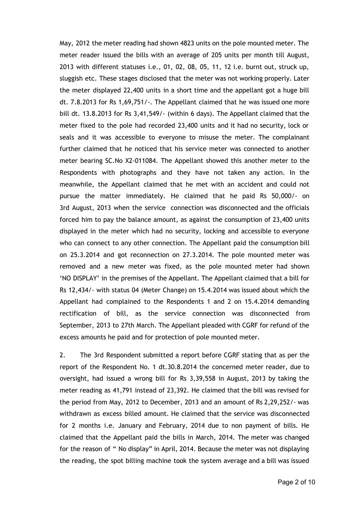May, 2012 the meter reading had shown 4823 units on the pole mounted meter. The meter reader issued the bills with an average of 205 units per month till August, 2013 with different statuses i.e., 01, 02, 08, 05, 11, 12 i.e. burnt out, struck up, sluggish etc. These stages disclosed that the meter was not working properly. Later the meter displayed 22,400 units in a short time and the appellant got a huge bill dt. 7.8.2013 for Rs 1,69,751/-. The Appellant claimed that he was issued one more bill dt. 13.8.2013 for Rs 3,41,549/- (within 6 days). The Appellant claimed that the meter fixed to the pole had recorded 23,400 units and it had no security, lock or seals and it was accessible to everyone to misuse the meter. The complainant further claimed that he noticed that his service meter was connected to another meter bearing SC.No X2-011084. The Appellant showed this another meter to the Respondents with photographs and they have not taken any action. In the meanwhile, the Appellant claimed that he met with an accident and could not pursue the matter immediately. He claimed that he paid Rs 50,000/- on 3rd August, 2013 when the service connection was disconnected and the officials forced him to pay the balance amount, as against the consumption of 23,400 units displayed in the meter which had no security, locking and accessible to everyone who can connect to any other connection. The Appellant paid the consumption bill on 25.3.2014 and got reconnection on 27.3.2014. The pole mounted meter was removed and a new meter was fixed, as the pole mounted meter had shown 'NO DISPLAY' in the premises of the Appellant. The Appellant claimed that a bill for Rs 12,434/- with status 04 (Meter Change) on 15.4.2014 was issued about which the Appellant had complained to the Respondents 1 and 2 on 15.4.2014 demanding rectification of bill, as the service connection was disconnected from September, 2013 to 27th March. The Appellant pleaded with CGRF for refund of the excess amounts he paid and for protection of pole mounted meter.

2. The 3rd Respondent submitted a report before CGRF stating that as per the report of the Respondent No. 1 dt.30.8.2014 the concerned meter reader, due to oversight, had issued a wrong bill for Rs 3,39,558 in August, 2013 by taking the meter reading as 41,791 instead of 23,392. He claimed that the bill was revised for the period from May, 2012 to December, 2013 and an amount of Rs 2,29,252/- was withdrawn as excess billed amount. He claimed that the service was disconnected for 2 months i.e. January and February, 2014 due to non payment of bills. He claimed that the Appellant paid the bills in March, 2014. The meter was changed for the reason of " No display" in April, 2014. Because the meter was not displaying the reading, the spot billing machine took the system average and a bill was issued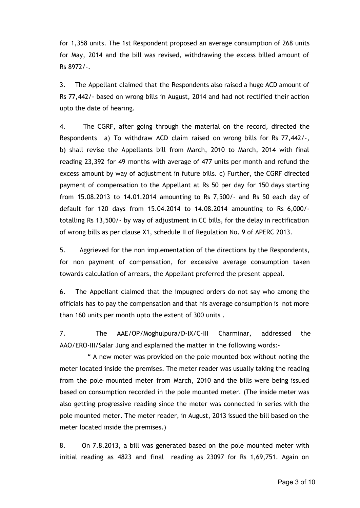for 1,358 units. The 1st Respondent proposed an average consumption of 268 units for May, 2014 and the bill was revised, withdrawing the excess billed amount of Rs 8972/-.

3. The Appellant claimed that the Respondents also raised a huge ACD amount of Rs 77,442/- based on wrong bills in August, 2014 and had not rectified their action upto the date of hearing.

4. The CGRF, after going through the material on the record, directed the Respondents a) To withdraw ACD claim raised on wrong bills for Rs 77,442/-, b) shall revise the Appellants bill from March, 2010 to March, 2014 with final reading 23,392 for 49 months with average of 477 units per month and refund the excess amount by way of adjustment in future bills. c) Further, the CGRF directed payment of compensation to the Appellant at Rs 50 per day for 150 days starting from 15.08.2013 to 14.01.2014 amounting to Rs 7,500/- and Rs 50 each day of default for 120 days from 15.04.2014 to 14.08.2014 amounting to Rs 6,000/ totalling Rs 13,500/- by way of adjustment in CC bills, for the delay in rectification of wrong bills as per clause X1, schedule II of Regulation No. 9 of APERC 2013.

5. Aggrieved for the non implementation of the directions by the Respondents, for non payment of compensation, for excessive average consumption taken towards calculation of arrears, the Appellant preferred the present appeal.

6. The Appellant claimed that the impugned orders do not say who among the officials has to pay the compensation and that his average consumption is not more than 160 units per month upto the extent of 300 units .

7. The AAE/OP/Moghulpura/D-IX/C-III Charminar, addressed the AAO/ERO-III/Salar Jung and explained the matter in the following words:-

" A new meter was provided on the pole mounted box without noting the meter located inside the premises. The meter reader was usually taking the reading from the pole mounted meter from March, 2010 and the bills were being issued based on consumption recorded in the pole mounted meter. (The inside meter was also getting progressive reading since the meter was connected in series with the pole mounted meter. The meter reader, in August, 2013 issued the bill based on the meter located inside the premises.)

8. On 7.8.2013, a bill was generated based on the pole mounted meter with initial reading as 4823 and final reading as 23097 for Rs 1,69,751. Again on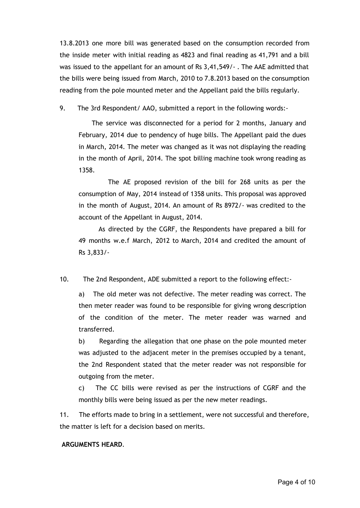13.8.2013 one more bill was generated based on the consumption recorded from the inside meter with initial reading as 4823 and final reading as 41,791 and a bill was issued to the appellant for an amount of Rs 3,41,549/- . The AAE admitted that the bills were being issued from March, 2010 to 7.8.2013 based on the consumption reading from the pole mounted meter and the Appellant paid the bills regularly.

9. The 3rd Respondent/ AAO, submitted a report in the following words:-

The service was disconnected for a period for 2 months, January and February, 2014 due to pendency of huge bills. The Appellant paid the dues in March, 2014. The meter was changed as it was not displaying the reading in the month of April, 2014. The spot billing machine took wrong reading as 1358.

The AE proposed revision of the bill for 268 units as per the consumption of May, 2014 instead of 1358 units. This proposal was approved in the month of August, 2014. An amount of Rs 8972/- was credited to the account of the Appellant in August, 2014.

As directed by the CGRF, the Respondents have prepared a bill for 49 months w.e.f March, 2012 to March, 2014 and credited the amount of Rs 3,833/-

10. The 2nd Respondent, ADE submitted a report to the following effect:-

a) The old meter was not defective. The meter reading was correct. The then meter reader was found to be responsible for giving wrong description of the condition of the meter. The meter reader was warned and transferred.

b) Regarding the allegation that one phase on the pole mounted meter was adjusted to the adjacent meter in the premises occupied by a tenant, the 2nd Respondent stated that the meter reader was not responsible for outgoing from the meter.

c) The CC bills were revised as per the instructions of CGRF and the monthly bills were being issued as per the new meter readings.

11. The efforts made to bring in a settlement, were not successful and therefore, the matter is left for a decision based on merits.

### **ARGUMENTS HEARD**.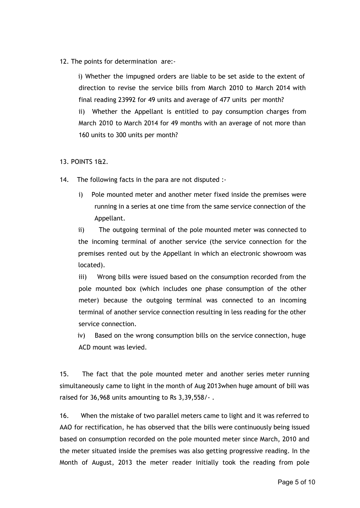12. The points for determination are:-

i) Whether the impugned orders are liable to be set aside to the extent of direction to revise the service bills from March 2010 to March 2014 with final reading 23992 for 49 units and average of 477 units per month? ii) Whether the Appellant is entitled to pay consumption charges from March 2010 to March 2014 for 49 months with an average of not more than 160 units to 300 units per month?

## 13. POINTS 1&2.

- 14. The following facts in the para are not disputed :
	- i) Pole mounted meter and another meter fixed inside the premises were running in a series at one time from the same service connection of the Appellant.

ii) The outgoing terminal of the pole mounted meter was connected to the incoming terminal of another service (the service connection for the premises rented out by the Appellant in which an electronic showroom was located).

iii) Wrong bills were issued based on the consumption recorded from the pole mounted box (which includes one phase consumption of the other meter) because the outgoing terminal was connected to an incoming terminal of another service connection resulting in less reading for the other service connection.

iv) Based on the wrong consumption bills on the service connection, huge ACD mount was levied.

15. The fact that the pole mounted meter and another series meter running simultaneously came to light in the month of Aug 2013when huge amount of bill was raised for 36,968 units amounting to Rs 3,39,558/- .

16. When the mistake of two parallel meters came to light and it was referred to AAO for rectification, he has observed that the bills were continuously being issued based on consumption recorded on the pole mounted meter since March, 2010 and the meter situated inside the premises was also getting progressive reading. In the Month of August, 2013 the meter reader initially took the reading from pole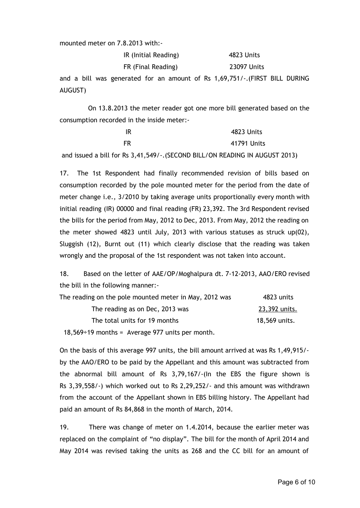mounted meter on 7.8.2013 with:-

| IR (Initial Reading) | 4823 Units         |
|----------------------|--------------------|
| FR (Final Reading)   | <b>23097 Units</b> |

and a bill was generated for an amount of Rs 1,69,751/-.(FIRST BILL DURING AUGUST)

On 13.8.2013 the meter reader got one more bill generated based on the consumption recorded in the inside meter:-

| IR                                                                           | 4823 Units  |
|------------------------------------------------------------------------------|-------------|
| FR                                                                           | 41791 Units |
| and issued a bill for Rs 3,41,549/-. (SECOND BILL/ON READING IN AUGUST 2013) |             |

17. The 1st Respondent had finally recommended revision of bills based on consumption recorded by the pole mounted meter for the period from the date of meter change i.e., 3/2010 by taking average units proportionally every month with initial reading (IR) 00000 and final reading (FR) 23,392. The 3rd Respondent revised the bills for the period from May, 2012 to Dec, 2013. From May, 2012 the reading on the meter showed 4823 until July, 2013 with various statuses as struck up(02), Sluggish (12), Burnt out (11) which clearly disclose that the reading was taken wrongly and the proposal of the 1st respondent was not taken into account.

18. Based on the letter of AAE/OP/Moghalpura dt. 7-12-2013, AAO/ERO revised the bill in the following manner:-

| The reading on the pole mounted meter in May, 2012 was                    | 4823 units    |
|---------------------------------------------------------------------------|---------------|
| The reading as on Dec, 2013 was                                           | 23,392 units. |
| The total units for 19 months                                             | 18,569 units. |
| $10.570 \cdot 10.00$ is said and $0.77 \cdot 10.000$ in the second state. |               |

 $18,569\div 19$  months = Average 977 units per month.

On the basis of this average 997 units, the bill amount arrived at was Rs 1,49,915/ by the AAO/ERO to be paid by the Appellant and this amount was subtracted from the abnormal bill amount of Rs 3,79,167/-(In the EBS the figure shown is Rs 3,39,558/-) which worked out to Rs 2,29,252/- and this amount was withdrawn from the account of the Appellant shown in EBS billing history. The Appellant had paid an amount of Rs 84,868 in the month of March, 2014.

19. There was change of meter on 1.4.2014, because the earlier meter was replaced on the complaint of "no display". The bill for the month of April 2014 and May 2014 was revised taking the units as 268 and the CC bill for an amount of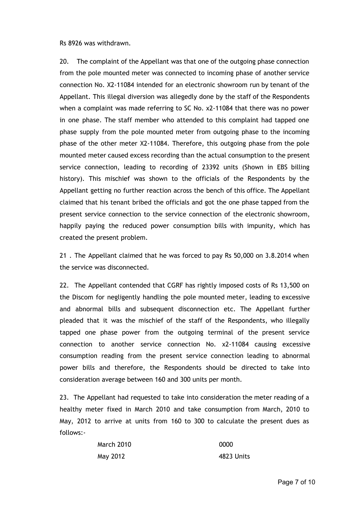Rs 8926 was withdrawn.

20. The complaint of the Appellant was that one of the outgoing phase connection from the pole mounted meter was connected to incoming phase of another service connection No. X2-11084 intended for an electronic showroom run by tenant of the Appellant. This illegal diversion was allegedly done by the staff of the Respondents when a complaint was made referring to SC No. x2-11084 that there was no power in one phase. The staff member who attended to this complaint had tapped one phase supply from the pole mounted meter from outgoing phase to the incoming phase of the other meter X2-11084. Therefore, this outgoing phase from the pole mounted meter caused excess recording than the actual consumption to the present service connection, leading to recording of 23392 units (Shown in EBS billing history). This mischief was shown to the officials of the Respondents by the Appellant getting no further reaction across the bench of this office. The Appellant claimed that his tenant bribed the officials and got the one phase tapped from the present service connection to the service connection of the electronic showroom, happily paying the reduced power consumption bills with impunity, which has created the present problem.

21 . The Appellant claimed that he was forced to pay Rs 50,000 on 3.8.2014 when the service was disconnected.

22. The Appellant contended that CGRF has rightly imposed costs of Rs 13,500 on the Discom for negligently handling the pole mounted meter, leading to excessive and abnormal bills and subsequent disconnection etc. The Appellant further pleaded that it was the mischief of the staff of the Respondents, who illegally tapped one phase power from the outgoing terminal of the present service connection to another service connection No. x2-11084 causing excessive consumption reading from the present service connection leading to abnormal power bills and therefore, the Respondents should be directed to take into consideration average between 160 and 300 units per month.

23. The Appellant had requested to take into consideration the meter reading of a healthy meter fixed in March 2010 and take consumption from March, 2010 to May, 2012 to arrive at units from 160 to 300 to calculate the present dues as follows:-

| March 2010 | 0000       |
|------------|------------|
| May 2012   | 4823 Units |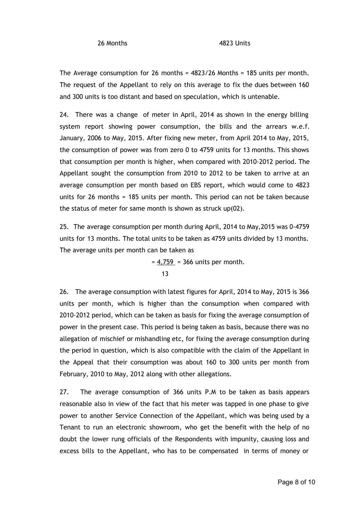The Average consumption for 26 months = 4823/26 Months = 185 units per month. The request of the Appellant to rely on this average to fix the dues between 160 and 300 units is too distant and based on speculation, which is untenable.

24. There was a change of meter in April, 2014 as shown in the energy billing system report showing power consumption, the bills and the arrears w.e.f. January, 2006 to May, 2015. After fixing new meter, from April 2014 to May, 2015, the consumption of power was from zero 0 to 4759 units for 13 months. This shows that consumption per month is higher, when compared with 2010-2012 period. The Appellant sought the consumption from 2010 to 2012 to be taken to arrive at an average consumption per month based on EBS report, which would come to 4823 units for 26 months = 185 units per month. This period can not be taken because the status of meter for same month is shown as struck up(02).

25. The average consumption per month during April, 2014 to May,2015 was 0-4759 units for 13 months. The total units to be taken as 4759 units divided by 13 months. The average units per month can be taken as

> $= 4,759 = 366$  units per month. 13

26. The average consumption with latest figures for April, 2014 to May, 2015 is 366 units per month, which is higher than the consumption when compared with 2010-2012 period, which can be taken as basis for fixing the average consumption of power in the present case. This period is being taken as basis, because there was no allegation of mischief or mishandling etc, for fixing the average consumption during the period in question, which is also compatible with the claim of the Appellant in the Appeal that their consumption was about 160 to 300 units per month from February, 2010 to May, 2012 along with other allegations.

27. The average consumption of 366 units P.M to be taken as basis appears reasonable also in view of the fact that his meter was tapped in one phase to give power to another Service Connection of the Appellant, which was being used by a Tenant to run an electronic showroom, who get the benefit with the help of no doubt the lower rung officials of the Respondents with impunity, causing loss and excess bills to the Appellant, who has to be compensated in terms of money or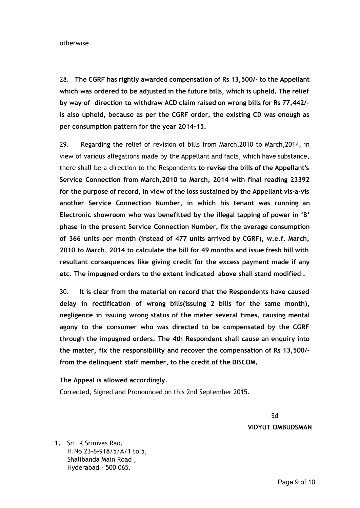otherwise.

28. **The CGRF has rightly awarded compensation of Rs 13,500/- to the Appellant which was ordered to be adjusted in the future bills, which is upheld. The relief by way of direction to withdraw ACD claim raised on wrong bills for Rs 77,442/ is also upheld, because as per the CGRF order, the existing CD was enough as per consumption pattern for the year 2014-15.**

29. Regarding the relief of revision of bills from March,2010 to March,2014, in view of various allegations made by the Appellant and facts, which have substance, there shall be a direction to the Respondents **to revise the bills of the Appellant's Service Connection from March,2010 to March, 2014 with final reading 23392 for the purpose of record, in view of the loss sustained by the Appellant vis-a-vis another Service Connection Number, in which his tenant was running an Electronic showroom who was benefitted by the illegal tapping of power in 'B' phase in the present Service Connection Number, fix the average consumption of 366 units per month (instead of 477 units arrived by CGRF), w.e.f. March, 2010 to March, 2014 to calculate the bill for 49 months and issue fresh bill with resultant consequences like giving credit for the excess payment made if any etc. The impugned orders to the extent indicated above shall stand modified .**

30. **It is clear from the material on record that the Respondents have caused delay in rectification of wrong bills(issuing 2 bills for the same month), negligence in issuing wrong status of the meter several times, causing mental agony to the consumer who was directed to be compensated by the CGRF through the impugned orders. The 4th Respondent shall cause an enquiry into the matter, fix the responsibility and recover the compensation of Rs 13,500/ from the delinquent staff member, to the credit of the DISCOM.**

**The Appeal is allowed accordingly.** Corrected, Signed and Pronounced on this 2nd September 2015.

> Sd **VIDYUT OMBUDSMAN**

**1.** Sri. K Srinivas Rao, H.No 23-6-918/5/A/1 to 5, Shalibanda Main Road , Hyderabad - 500 065.